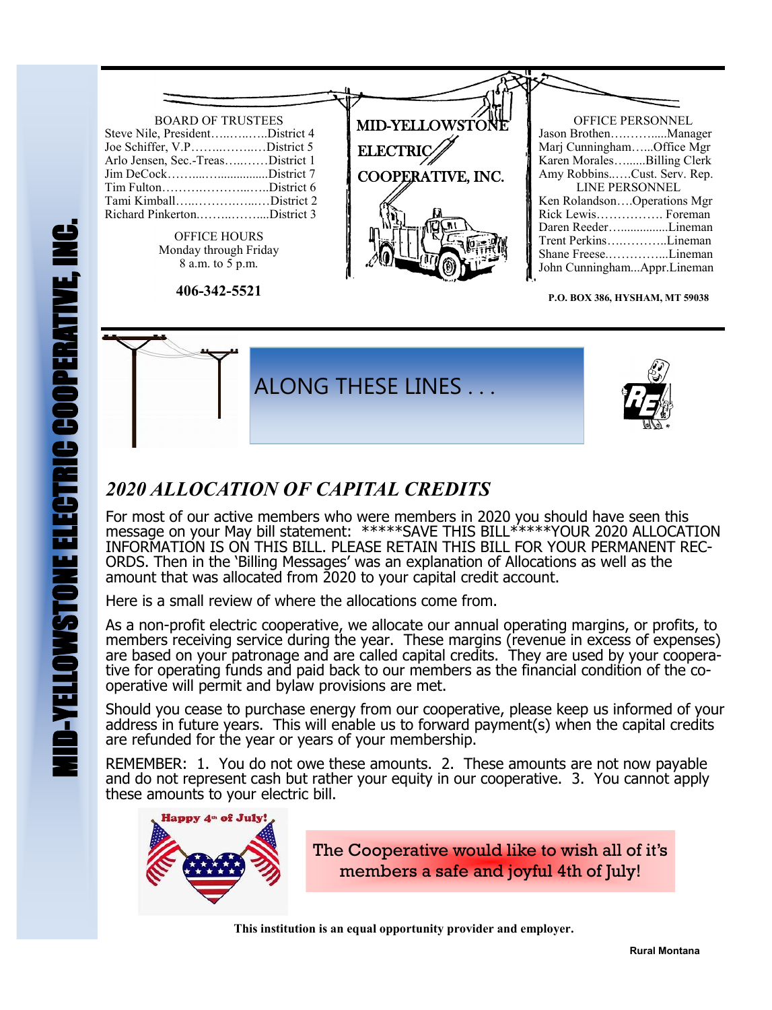## BOARD OF TRUSTEES Steve Nile, President…..…..…..District 4 Joe Schiffer, V.P……..……..…District 5 Arlo Jensen, Sec.-Treas…..……District 1 Jim DeCock…….....................District 7 Tim Fulton……….………...…..District 6 Tami Kimball…..……….…...…District 2 Richard Pinkerton.……..……....District 3 OFFICE HOURS Monday through Friday 8 a.m. to 5 p.m. OFFICE PERSONNEL Jason Brothen….…….....Manager Marj Cunningham…...Office Mgr Karen Morales…......Billing Clerk Amy Robbins..….Cust. Serv. Rep. LINE PERSONNEL Ken Rolandson….Operations Mgr Rick Lewis……………. Foreman Daren Reeder…...............Lineman Trent Perkins….………..Lineman Shane Freese.…………...Lineman John Cunningham...Appr.Lineman MID-YELLOWSTON **ELECTRIC** COOPERATIVE, INC.

**P.O. BOX 386, HYSHAM, MT 59038**



## *2020 ALLOCATION OF CAPITAL CREDITS*

**406-342-5521**

For most of our active members who were members in 2020 you should have seen this message on your May bill statement: \*\*\*\*\*SAVE THIS BILL\*\*\*\*\*YOUR 2020 ALLOCATION INFORMATION IS ON THIS BILL. PLEASE RETAIN THIS BILL FOR YOUR PERMANENT REC-ORDS. Then in the 'Billing Messages' was an explanation of Allocations as well as the amount that was allocated from 2020 to your capital credit account.

Here is a small review of where the allocations come from.

As a non-profit electric cooperative, we allocate our annual operating margins, or profits, to members receiving service during the year. These margins (revenue in excess of expenses) are based on your patronage and are called capital credits. They are used by your cooperative for operating funds and paid back to our members as the financial condition of the cooperative will permit and bylaw provisions are met.

Should you cease to purchase energy from our cooperative, please keep us informed of your address in future years. This will enable us to forward payment(s) when the capital credits are refunded for the year or years of your membership.

REMEMBER: 1. You do not owe these amounts. 2. These amounts are not now payable and do not represent cash but rather your equity in our cooperative. 3. You cannot apply these amounts to your electric bill.



The Cooperative would like to wish all of it's members a safe and joyful 4th of July!

 **This institution is an equal opportunity provider and employer.**